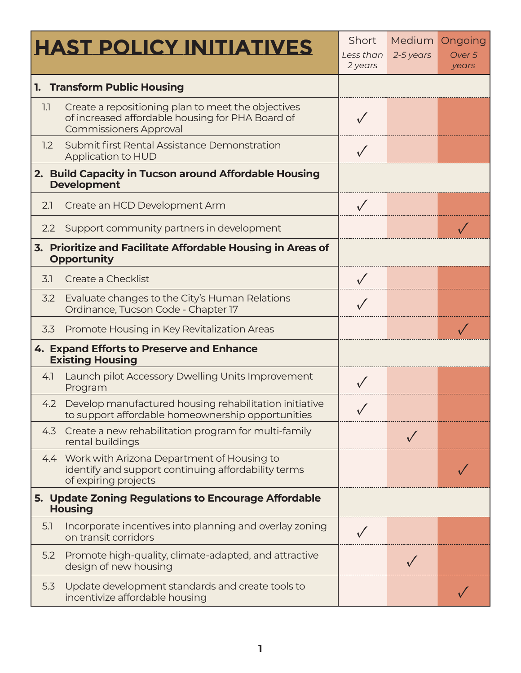|                                                                                   | <b>HAST POLICY INITIATIVES</b>                                                                                                          | Short<br>Less than<br>2 years | <b>Medium</b><br>2-5 years | Ongoing<br>Over 5<br>years |
|-----------------------------------------------------------------------------------|-----------------------------------------------------------------------------------------------------------------------------------------|-------------------------------|----------------------------|----------------------------|
| 1. Transform Public Housing                                                       |                                                                                                                                         |                               |                            |                            |
| 1.1                                                                               | Create a repositioning plan to meet the objectives<br>of increased affordable housing for PHA Board of<br><b>Commissioners Approval</b> |                               |                            |                            |
| 1.2                                                                               | Submit first Rental Assistance Demonstration<br>Application to HUD                                                                      |                               |                            |                            |
| 2. Build Capacity in Tucson around Affordable Housing<br><b>Development</b>       |                                                                                                                                         |                               |                            |                            |
| 2.1                                                                               | Create an HCD Development Arm                                                                                                           | $\sqrt{}$                     |                            |                            |
| 2.2                                                                               | Support community partners in development                                                                                               |                               |                            |                            |
| 3. Prioritize and Facilitate Affordable Housing in Areas of<br><b>Opportunity</b> |                                                                                                                                         |                               |                            |                            |
| 3.1                                                                               | Create a Checklist                                                                                                                      |                               |                            |                            |
| 3.2                                                                               | Evaluate changes to the City's Human Relations<br>Ordinance, Tucson Code - Chapter 17                                                   |                               |                            |                            |
| 3.3                                                                               | Promote Housing in Key Revitalization Areas                                                                                             |                               |                            |                            |
| 4. Expand Efforts to Preserve and Enhance<br><b>Existing Housing</b>              |                                                                                                                                         |                               |                            |                            |
| 4.                                                                                | Launch pilot Accessory Dwelling Units Improvement<br>Program                                                                            |                               |                            |                            |
|                                                                                   | 4.2 Develop manufactured housing rehabilitation initiative<br>to support affordable homeownership opportunities                         | $\sqrt{ }$                    |                            |                            |
| 4.3                                                                               | Create a new rehabilitation program for multi-family<br>rental buildings                                                                |                               |                            |                            |
|                                                                                   | 4.4 Work with Arizona Department of Housing to<br>identify and support continuing affordability terms<br>of expiring projects           |                               |                            |                            |
| 5. Update Zoning Regulations to Encourage Affordable<br><b>Housing</b>            |                                                                                                                                         |                               |                            |                            |
| 5.1                                                                               | Incorporate incentives into planning and overlay zoning<br>on transit corridors                                                         |                               |                            |                            |
| 5.2                                                                               | Promote high-quality, climate-adapted, and attractive<br>design of new housing                                                          |                               |                            |                            |
| 5.3                                                                               | Update development standards and create tools to<br>incentivize affordable housing                                                      |                               |                            |                            |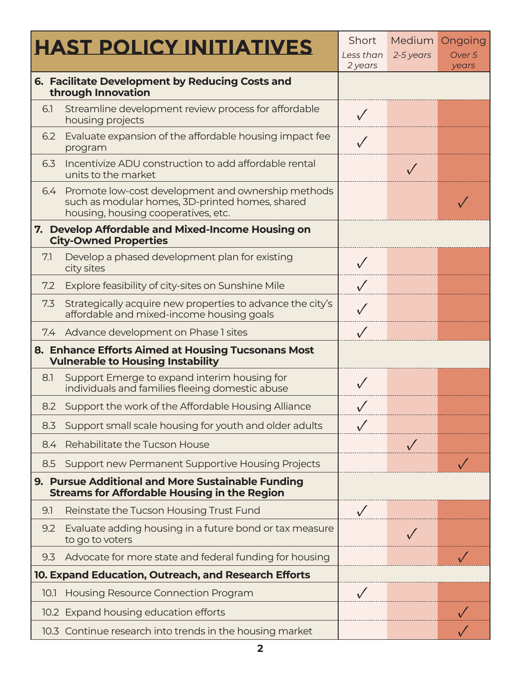|                                                                                                          | <b>HAST POLICY INITIATIVES</b>                                                                                                               | Short<br>Less than<br>2 years | Medium<br>2-5 years | Ongoing<br>Over 5<br>years |
|----------------------------------------------------------------------------------------------------------|----------------------------------------------------------------------------------------------------------------------------------------------|-------------------------------|---------------------|----------------------------|
| 6. Facilitate Development by Reducing Costs and<br>through Innovation                                    |                                                                                                                                              |                               |                     |                            |
| 6.1                                                                                                      | Streamline development review process for affordable<br>housing projects                                                                     | $\sqrt{}$                     |                     |                            |
| 6.2                                                                                                      | Evaluate expansion of the affordable housing impact fee<br>program                                                                           |                               |                     |                            |
| 6.3                                                                                                      | Incentivize ADU construction to add affordable rental<br>units to the market                                                                 |                               |                     |                            |
| 6.4                                                                                                      | Promote low-cost development and ownership methods<br>such as modular homes, 3D-printed homes, shared<br>housing, housing cooperatives, etc. |                               |                     |                            |
| 7. Develop Affordable and Mixed-Income Housing on<br><b>City-Owned Properties</b>                        |                                                                                                                                              |                               |                     |                            |
| 7.1                                                                                                      | Develop a phased development plan for existing<br>city sites                                                                                 |                               |                     |                            |
| 7.2                                                                                                      | Explore feasibility of city-sites on Sunshine Mile                                                                                           | $\sqrt{}$                     |                     |                            |
| 7.3                                                                                                      | Strategically acquire new properties to advance the city's<br>affordable and mixed-income housing goals                                      |                               |                     |                            |
| 7.4                                                                                                      | Advance development on Phase 1 sites                                                                                                         |                               |                     |                            |
| 8. Enhance Efforts Aimed at Housing Tucsonans Most<br><b>Vulnerable to Housing Instability</b>           |                                                                                                                                              |                               |                     |                            |
| 8.1                                                                                                      | Support Emerge to expand interim housing for<br>individuals and families fleeing domestic abuse                                              |                               |                     |                            |
|                                                                                                          | 8.2 Support the work of the Affordable Housing Alliance                                                                                      |                               |                     |                            |
| 8.3                                                                                                      | Support small scale housing for youth and older adults                                                                                       |                               |                     |                            |
| 8.4                                                                                                      | Rehabilitate the Tucson House                                                                                                                |                               |                     |                            |
| 8.5                                                                                                      | Support new Permanent Supportive Housing Projects                                                                                            |                               |                     |                            |
| 9. Pursue Additional and More Sustainable Funding<br><b>Streams for Affordable Housing in the Region</b> |                                                                                                                                              |                               |                     |                            |
| 9.1                                                                                                      | Reinstate the Tucson Housing Trust Fund                                                                                                      |                               |                     |                            |
| 9.2                                                                                                      | Evaluate adding housing in a future bond or tax measure<br>to go to voters                                                                   |                               |                     |                            |
| 9.3                                                                                                      | Advocate for more state and federal funding for housing                                                                                      |                               |                     |                            |
| 10. Expand Education, Outreach, and Research Efforts                                                     |                                                                                                                                              |                               |                     |                            |
| 10.1                                                                                                     | Housing Resource Connection Program                                                                                                          |                               |                     |                            |
|                                                                                                          | 10.2 Expand housing education efforts                                                                                                        |                               |                     |                            |
|                                                                                                          | 10.3 Continue research into trends in the housing market                                                                                     |                               |                     |                            |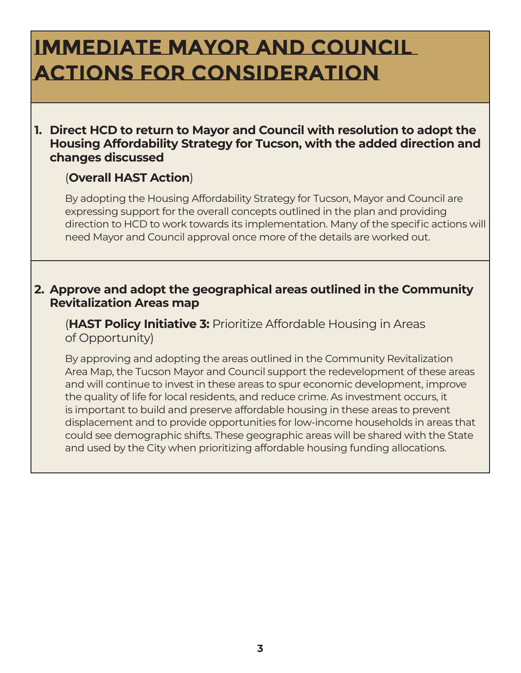# **Immediate mayor and council actions for Consideration**

### **1. Direct HCD to return to Mayor and Council with resolution to adopt the Housing Affordability Strategy for Tucson, with the added direction and changes discussed**

### (**Overall HAST Action**)

By adopting the Housing Affordability Strategy for Tucson, Mayor and Council are expressing support for the overall concepts outlined in the plan and providing direction to HCD to work towards its implementation. Many of the specific actions will need Mayor and Council approval once more of the details are worked out.

#### **2. Approve and adopt the geographical areas outlined in the Community Revitalization Areas map**

(**HAST Policy Initiative 3:** Prioritize Affordable Housing in Areas of Opportunity)

By approving and adopting the areas outlined in the Community Revitalization Area Map, the Tucson Mayor and Council support the redevelopment of these areas and will continue to invest in these areas to spur economic development, improve the quality of life for local residents, and reduce crime. As investment occurs, it is important to build and preserve affordable housing in these areas to prevent displacement and to provide opportunities for low-income households in areas that could see demographic shifts. These geographic areas will be shared with the State and used by the City when prioritizing affordable housing funding allocations.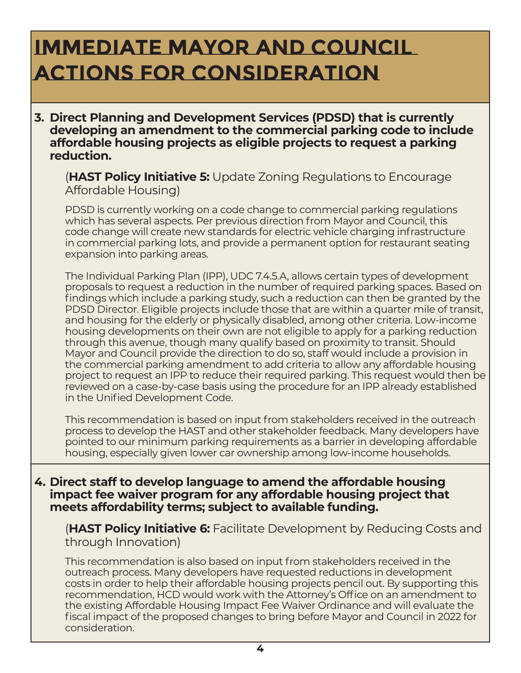### **Immediate mayor and council actions for Consideration**

**3. Direct Planning and Development Services (PDSD) that is currently developing an amendment to the commercial parking code to include affordable housing projects as eligible projects to request a parking reduction.** 

(**HAST Policy Initiative 5:** Update Zoning Regulations to Encourage Affordable Housing)

PDSD is currently working on a code change to commercial parking regulations which has several aspects. Per previous direction from Mayor and Council, this code change will create new standards for electric vehicle charging infrastructure in commercial parking lots, and provide a permanent option for restaurant seating expansion into parking areas.

The Individual Parking Plan (IPP), UDC 7.4.5.A, allows certain types of development proposals to request a reduction in the number of required parking spaces. Based on findings which include a parking study, such a reduction can then be granted by the PDSD Director. Eligible projects include those that are within a quarter mile of transit, and housing for the elderly or physically disabled, among other criteria. Low-income housing developments on their own are not eligible to apply for a parking reduction through this avenue, though many qualify based on proximity to transit. Should Mayor and Council provide the direction to do so, staff would include a provision in the commercial parking amendment to add criteria to allow any affordable housing project to request an IPP to reduce their required parking. This request would then be reviewed on a case-by-case basis using the procedure for an IPP already established in the Unified Development Code.

This recommendation is based on input from stakeholders received in the outreach process to develop the HAST and other stakeholder feedback. Many developers have pointed to our minimum parking requirements as a barrier in developing affordable housing, especially given lower car ownership among low-income households.

**4. Direct staff to develop language to amend the affordable housing impact fee waiver program for any affordable housing project that meets affordability terms; subject to available funding.** 

(**HAST Policy Initiative 6:** Facilitate Development by Reducing Costs and through Innovation)

This recommendation is also based on input from stakeholders received in the outreach process. Many developers have requested reductions in development costs in order to help their affordable housing projects pencil out. By supporting this recommendation, HCD would work with the Attorney's Office on an amendment to the existing Affordable Housing Impact Fee Waiver Ordinance and will evaluate the fiscal impact of the proposed changes to bring before Mayor and Council in 2022 for consideration.